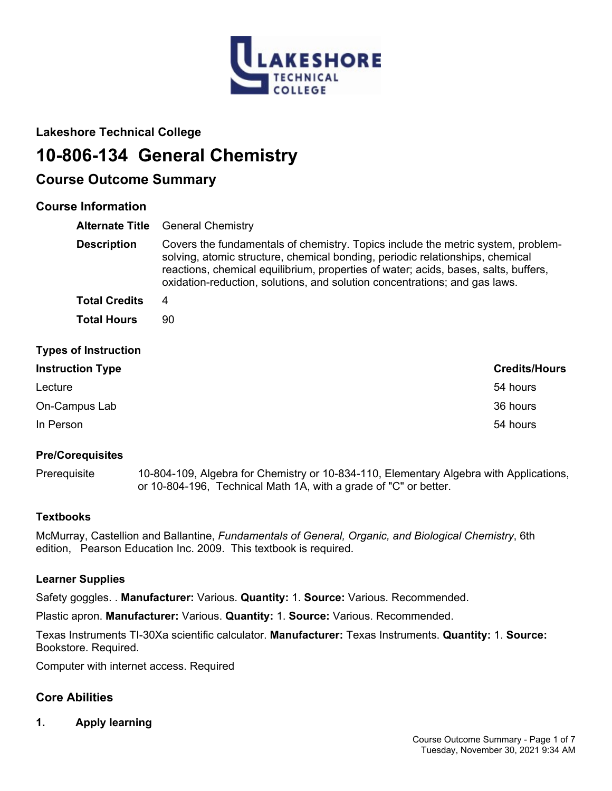

# **Lakeshore Technical College**

# **10-806-134 General Chemistry**

# **Course Outcome Summary**

# **Course Information**

| <b>Alternate Title</b>      | <b>General Chemistry</b>                                                                                                                                                                                                                                                                                                               |  |
|-----------------------------|----------------------------------------------------------------------------------------------------------------------------------------------------------------------------------------------------------------------------------------------------------------------------------------------------------------------------------------|--|
| <b>Description</b>          | Covers the fundamentals of chemistry. Topics include the metric system, problem-<br>solving, atomic structure, chemical bonding, periodic relationships, chemical<br>reactions, chemical equilibrium, properties of water; acids, bases, salts, buffers,<br>oxidation-reduction, solutions, and solution concentrations; and gas laws. |  |
| <b>Total Credits</b>        | 4                                                                                                                                                                                                                                                                                                                                      |  |
| <b>Total Hours</b>          | 90                                                                                                                                                                                                                                                                                                                                     |  |
| <b>Types of Instruction</b> |                                                                                                                                                                                                                                                                                                                                        |  |
| <b>Instruction Type</b>     | <b>Credits/Hours</b>                                                                                                                                                                                                                                                                                                                   |  |
| Lecture                     | 54 hours                                                                                                                                                                                                                                                                                                                               |  |
| On-Campus Lab               | 36 hours                                                                                                                                                                                                                                                                                                                               |  |

In Person 54 hours

# **Pre/Corequisites**

Prerequisite 10-804-109, Algebra for Chemistry or 10-834-110, Elementary Algebra with Applications, or 10-804-196, Technical Math 1A, with a grade of "C" or better.

# **Textbooks**

McMurray, Castellion and Ballantine, *Fundamentals of General, Organic, and Biological Chemistry*, 6th edition, Pearson Education Inc. 2009. This textbook is required.

# **Learner Supplies**

Safety goggles. . **Manufacturer:** Various. **Quantity:** 1. **Source:** Various. Recommended.

Plastic apron. **Manufacturer:** Various. **Quantity:** 1. **Source:** Various. Recommended.

Texas Instruments TI-30Xa scientific calculator. **Manufacturer:** Texas Instruments. **Quantity:** 1. **Source:**  Bookstore. Required.

Computer with internet access. Required

# **Core Abilities**

**1. Apply learning**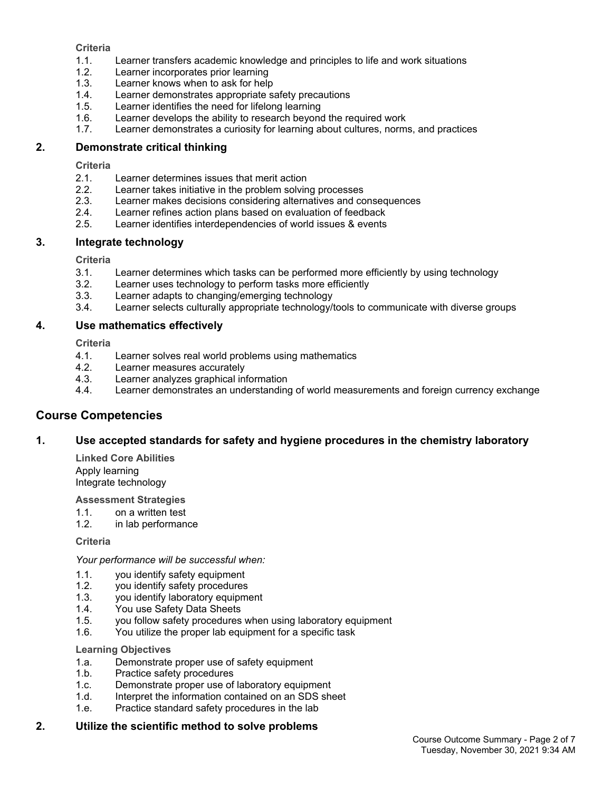# **Criteria**

- 1.1. Learner transfers academic knowledge and principles to life and work situations
- 1.2. Learner incorporates prior learning
- 1.3. Learner knows when to ask for help
- 1.4. Learner demonstrates appropriate safety precautions
- 1.5. Learner identifies the need for lifelong learning
- 1.6. Learner develops the ability to research beyond the required work
- 1.7. Learner demonstrates a curiosity for learning about cultures, norms, and practices

# **2. Demonstrate critical thinking**

## **Criteria**

- 2.1. Learner determines issues that merit action
- 2.2. Learner takes initiative in the problem solving processes
- 2.3. Learner makes decisions considering alternatives and consequences
- 2.4. Learner refines action plans based on evaluation of feedback
- 2.5. Learner identifies interdependencies of world issues & events

# **3. Integrate technology**

**Criteria**

- 3.1. Learner determines which tasks can be performed more efficiently by using technology
- 3.2. Learner uses technology to perform tasks more efficiently
- 3.3. Learner adapts to changing/emerging technology
- 3.4. Learner selects culturally appropriate technology/tools to communicate with diverse groups

# **4. Use mathematics effectively**

**Criteria**

- 4.1. Learner solves real world problems using mathematics
- 4.2. Learner measures accurately
- 4.3. Learner analyzes graphical information
- 4.4. Learner demonstrates an understanding of world measurements and foreign currency exchange

# **Course Competencies**

# **1. Use accepted standards for safety and hygiene procedures in the chemistry laboratory**

**Linked Core Abilities** Apply learning Integrate technology

**Assessment Strategies**

- 1.1. on a written test
- 1.2. in lab performance

### **Criteria**

*Your performance will be successful when:*

- 1.1. you identify safety equipment
- 1.2. you identify safety procedures
- 1.3. you identify laboratory equipment
- 1.4. You use Safety Data Sheets
- 1.5. you follow safety procedures when using laboratory equipment
- 1.6. You utilize the proper lab equipment for a specific task

### **Learning Objectives**

- 1.a. Demonstrate proper use of safety equipment
- 1.b. Practice safety procedures
- 1.c. Demonstrate proper use of laboratory equipment
- 1.d. Interpret the information contained on an SDS sheet
- 1.e. Practice standard safety procedures in the lab

### **2. Utilize the scientific method to solve problems**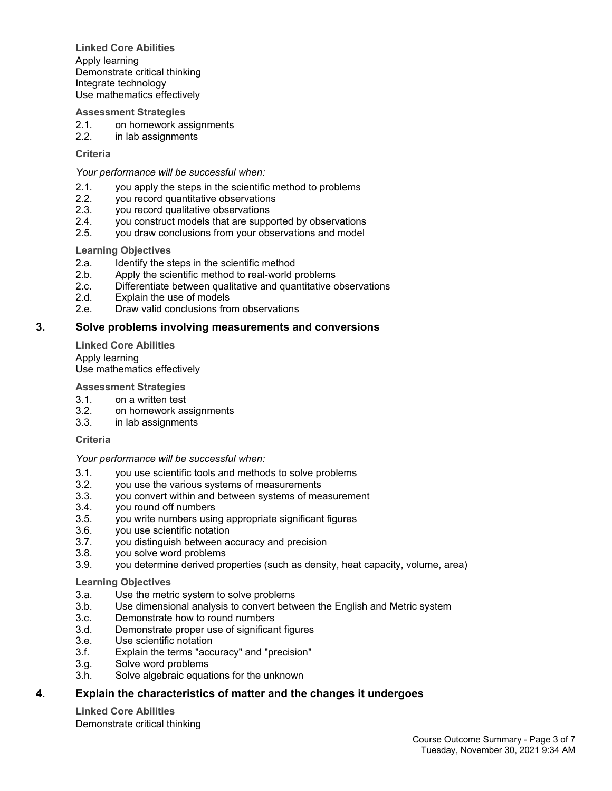**Linked Core Abilities** Apply learning Demonstrate critical thinking Integrate technology Use mathematics effectively

### **Assessment Strategies**

- 2.1. on homework assignments
- 2.2. in lab assignments

### **Criteria**

#### *Your performance will be successful when:*

- 2.1. you apply the steps in the scientific method to problems
- 2.2. you record quantitative observations<br>2.3. vou record qualitative observations
- you record qualitative observations
- 2.4. you construct models that are supported by observations
- 2.5. you draw conclusions from your observations and model

#### **Learning Objectives**

- 2.a. Identify the steps in the scientific method
- 2.b. Apply the scientific method to real-world problems<br>2.c. Differentiate between qualitative and quantitative c
- Differentiate between qualitative and quantitative observations
- 2.d. Explain the use of models
- 2.e. Draw valid conclusions from observations

#### **3. Solve problems involving measurements and conversions**

**Linked Core Abilities** Apply learning Use mathematics effectively

#### **Assessment Strategies**

- 3.1. on a written test
- 3.2. on homework assignments
- 3.3. in lab assignments

#### **Criteria**

#### *Your performance will be successful when:*

- 3.1. you use scientific tools and methods to solve problems
- 3.2. you use the various systems of measurements
- 3.3. you convert within and between systems of measurement
- 3.4. you round off numbers
- 3.5. you write numbers using appropriate significant figures
- 3.6. you use scientific notation
- 3.7. you distinguish between accuracy and precision
- 3.8. you solve word problems
- 3.9. you determine derived properties (such as density, heat capacity, volume, area)

#### **Learning Objectives**

- 3.a. Use the metric system to solve problems
- 3.b. Use dimensional analysis to convert between the English and Metric system
- 3.c. Demonstrate how to round numbers
- 3.d. Demonstrate proper use of significant figures
- 3.e. Use scientific notation
- 3.f. Explain the terms "accuracy" and "precision"
- 3.g. Solve word problems
- 3.h. Solve algebraic equations for the unknown

### **4. Explain the characteristics of matter and the changes it undergoes**

**Linked Core Abilities** Demonstrate critical thinking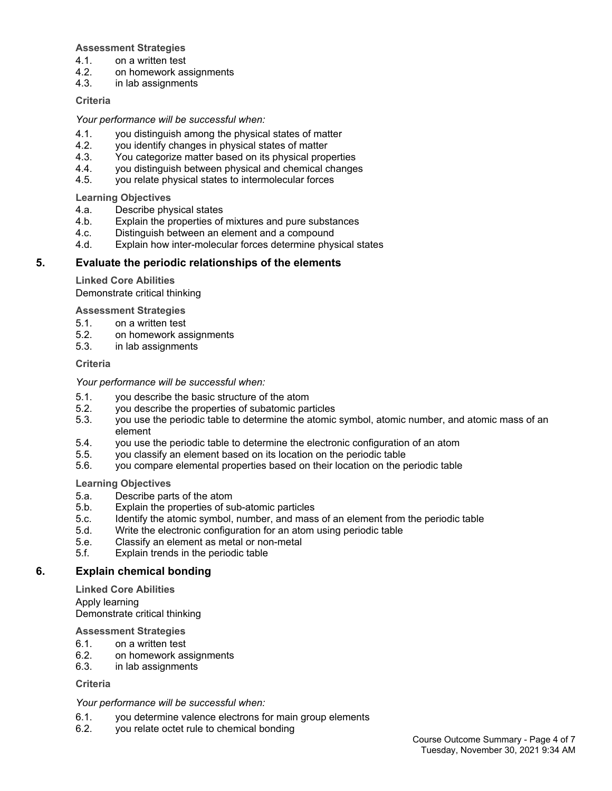# **Assessment Strategies**

- 4.1. on a written test
- 4.2. on homework assignments<br>4.3. in lab assignments
- in lab assignments

# **Criteria**

*Your performance will be successful when:*

- 4.1. you distinguish among the physical states of matter
- 4.2. you identify changes in physical states of matter
- 4.3. You categorize matter based on its physical properties
- 4.4. you distinguish between physical and chemical changes
- 4.5. you relate physical states to intermolecular forces

**Learning Objectives**

- 4.a. Describe physical states
- 4.b. Explain the properties of mixtures and pure substances
- 4.c. Distinguish between an element and a compound
- 4.d. Explain how inter-molecular forces determine physical states

# **5. Evaluate the periodic relationships of the elements**

**Linked Core Abilities**

Demonstrate critical thinking

**Assessment Strategies**

- 5.1. on a written test
- 5.2. on homework assignments
- 5.3. in lab assignments

# **Criteria**

*Your performance will be successful when:*

- 5.1. you describe the basic structure of the atom
- 5.2. you describe the properties of subatomic particles
- 5.3. you use the periodic table to determine the atomic symbol, atomic number, and atomic mass of an element
- 5.4. you use the periodic table to determine the electronic configuration of an atom
- 5.5. you classify an element based on its location on the periodic table
- 5.6. you compare elemental properties based on their location on the periodic table

**Learning Objectives**

- 5.a. Describe parts of the atom
- 5.b. Explain the properties of sub-atomic particles
- 5.c. Identify the atomic symbol, number, and mass of an element from the periodic table
- 5.d. Write the electronic configuration for an atom using periodic table
- 5.e. Classify an element as metal or non-metal
- 5.f. Explain trends in the periodic table

# **6. Explain chemical bonding**

**Linked Core Abilities** Apply learning Demonstrate critical thinking

# **Assessment Strategies**

- 6.1. on a written test
- 6.2. on homework assignments
- 6.3. in lab assignments

# **Criteria**

# *Your performance will be successful when:*

- 6.1. you determine valence electrons for main group elements
- 6.2. you relate octet rule to chemical bonding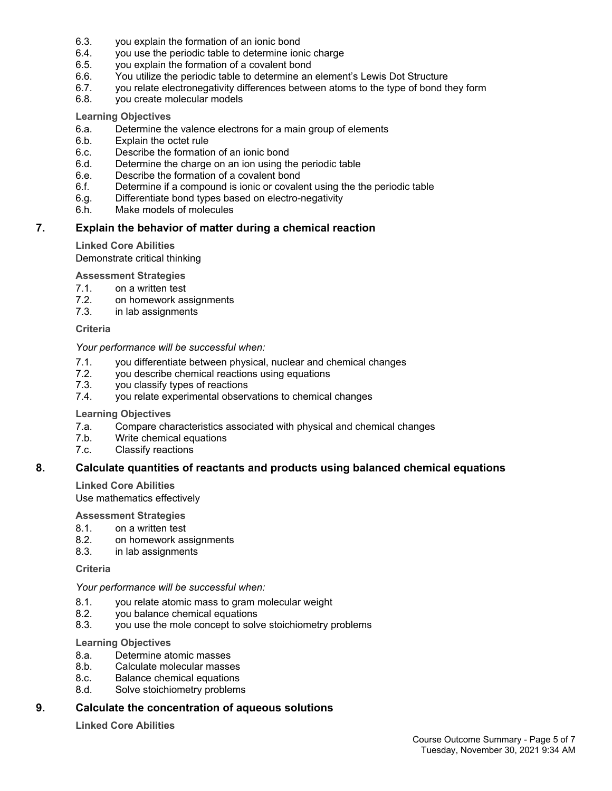- 6.3. you explain the formation of an ionic bond
- 6.4. you use the periodic table to determine ionic charge
- 6.5. you explain the formation of a covalent bond
- 6.6. You utilize the periodic table to determine an element's Lewis Dot Structure
- 6.7. you relate electronegativity differences between atoms to the type of bond they form
- 6.8. you create molecular models

# **Learning Objectives**

- 6.a. Determine the valence electrons for a main group of elements
- 6.b. Explain the octet rule
- 6.c. Describe the formation of an ionic bond
- 6.d. Determine the charge on an ion using the periodic table
- 6.e. Describe the formation of a covalent bond
- 6.f. Determine if a compound is ionic or covalent using the the periodic table
- 6.g. Differentiate bond types based on electro-negativity
- 6.h. Make models of molecules

# **7. Explain the behavior of matter during a chemical reaction**

# **Linked Core Abilities**

Demonstrate critical thinking

# **Assessment Strategies**

- 7.1. on a written test
- 7.2. on homework assignments
- 7.3. in lab assignments

### **Criteria**

### *Your performance will be successful when:*

- 7.1. you differentiate between physical, nuclear and chemical changes<br>7.2. vou describe chemical reactions using equations
- 7.2. you describe chemical reactions using equations<br>7.3. vou classify types of reactions
- you classify types of reactions
- 7.4. you relate experimental observations to chemical changes

### **Learning Objectives**

- 7.a. Compare characteristics associated with physical and chemical changes
- 7.b. Write chemical equations
- 7.c. Classify reactions

# **8. Calculate quantities of reactants and products using balanced chemical equations**

**Linked Core Abilities** Use mathematics effectively

### **Assessment Strategies**

- 8.1. on a written test
- 8.2. on homework assignments
- 8.3. in lab assignments

### **Criteria**

### *Your performance will be successful when:*

- 8.1. you relate atomic mass to gram molecular weight
- 8.2. you balance chemical equations
- 8.3. you use the mole concept to solve stoichiometry problems

## **Learning Objectives**

- 8.a. Determine atomic masses
- 8.b. Calculate molecular masses
- 8.c. Balance chemical equations
- 8.d. Solve stoichiometry problems

# **9. Calculate the concentration of aqueous solutions**

**Linked Core Abilities**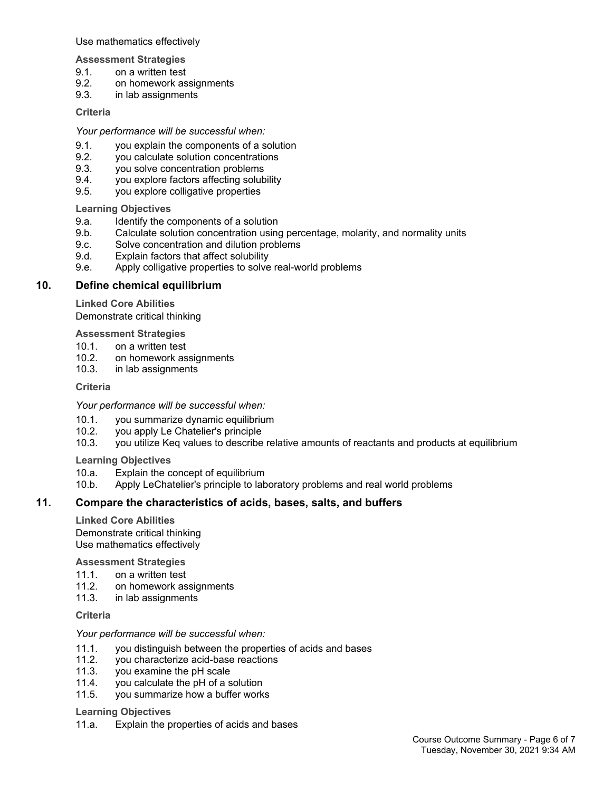Use mathematics effectively

**Assessment Strategies**

- 9.1. on a written test
- 9.2. on homework assignments<br>9.3. in lab assignments
- 9.3. in lab assignments

## **Criteria**

*Your performance will be successful when:*

- 9.1. you explain the components of a solution
- 9.2. you calculate solution concentrations
- 9.3. you solve concentration problems
- 9.4. you explore factors affecting solubility
- 9.5. you explore colligative properties

**Learning Objectives**

- 9.a. Identify the components of a solution
- 9.b. Calculate solution concentration using percentage, molarity, and normality units
- 9.c. Solve concentration and dilution problems
- 9.d. Explain factors that affect solubility
- 9.e. Apply colligative properties to solve real-world problems

# **10. Define chemical equilibrium**

**Linked Core Abilities**

Demonstrate critical thinking

# **Assessment Strategies**

- 10.1. on a written test
- 10.2. on homework assignments
- 10.3. in lab assignments

# **Criteria**

*Your performance will be successful when:*

- 10.1. you summarize dynamic equilibrium
- 10.2. you apply Le Chatelier's principle
- 10.3. you utilize Keq values to describe relative amounts of reactants and products at equilibrium

**Learning Objectives**

10.a. Explain the concept of equilibrium

10.b. Apply LeChatelier's principle to laboratory problems and real world problems

# **11. Compare the characteristics of acids, bases, salts, and buffers**

**Linked Core Abilities** Demonstrate critical thinking Use mathematics effectively

### **Assessment Strategies**

- 11.1. on a written test
- 11.2. on homework assignments
- 11.3. in lab assignments

# **Criteria**

### *Your performance will be successful when:*

- 11.1. you distinguish between the properties of acids and bases
- 11.2. you characterize acid-base reactions<br>11.3. vou examine the pH scale
- you examine the pH scale
- 11.4. you calculate the pH of a solution
- 11.5. you summarize how a buffer works

### **Learning Objectives**

11.a. Explain the properties of acids and bases